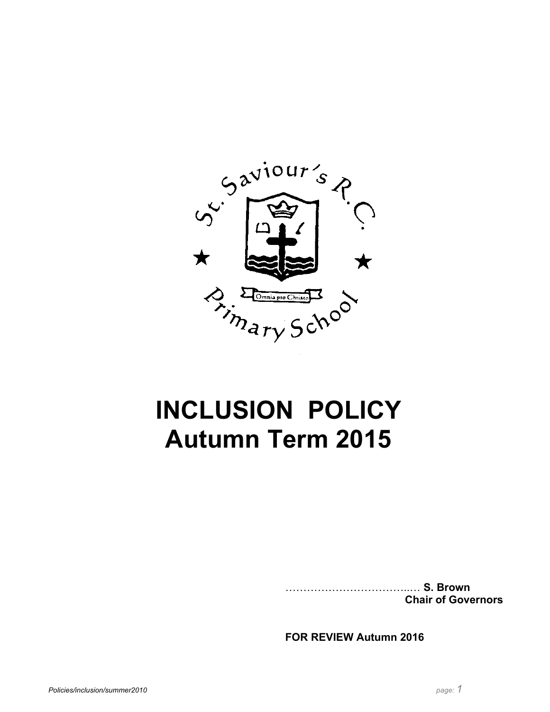

# **INCLUSION POLICY Autumn Term 2015**

……………………………..… **S. Brown Chair of Governors**

**FOR REVIEW Autumn 2016**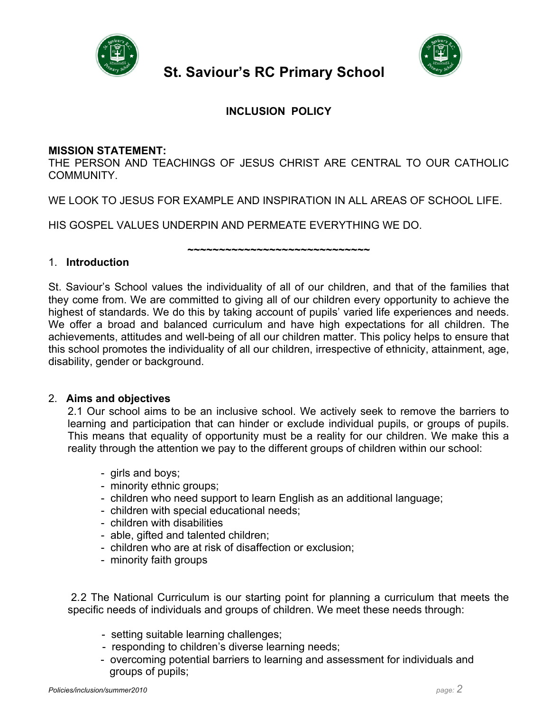

## **St. Saviour's RC Primary School**



### **INCLUSION POLICY**

#### **MISSION STATEMENT:**

THE PERSON AND TEACHINGS OF JESUS CHRIST ARE CENTRAL TO OUR CATHOLIC COMMUNITY.

WE LOOK TO JESUS FOR EXAMPLE AND INSPIRATION IN ALL AREAS OF SCHOOL LIFE.

HIS GOSPEL VALUES UNDERPIN AND PERMEATE EVERYTHING WE DO.

**~~~~~~~~~~~~~~~~~~~~~~~~~~~~~**

#### 1. **Introduction**

St. Saviour's School values the individuality of all of our children, and that of the families that they come from. We are committed to giving all of our children every opportunity to achieve the highest of standards. We do this by taking account of pupils' varied life experiences and needs. We offer a broad and balanced curriculum and have high expectations for all children. The achievements, attitudes and well-being of all our children matter. This policy helps to ensure that this school promotes the individuality of all our children, irrespective of ethnicity, attainment, age, disability, gender or background.

#### 2. **Aims and objectives**

2.1 Our school aims to be an inclusive school. We actively seek to remove the barriers to learning and participation that can hinder or exclude individual pupils, or groups of pupils. This means that equality of opportunity must be a reality for our children. We make this a reality through the attention we pay to the different groups of children within our school:

- girls and boys;
- minority ethnic groups;
- children who need support to learn English as an additional language;
- children with special educational needs;
- children with disabilities
- able, gifted and talented children;
- children who are at risk of disaffection or exclusion;
- minority faith groups

2.2 The National Curriculum is our starting point for planning a curriculum that meets the specific needs of individuals and groups of children. We meet these needs through:

- setting suitable learning challenges;
- responding to children's diverse learning needs;
- overcoming potential barriers to learning and assessment for individuals and groups of pupils;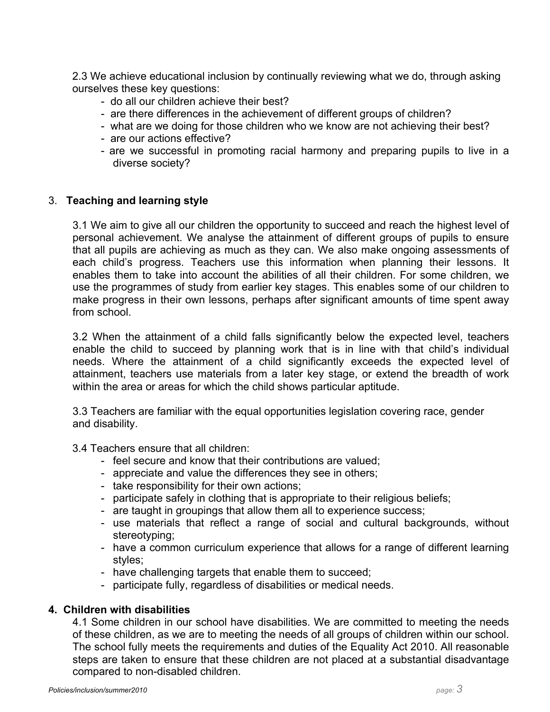2.3 We achieve educational inclusion by continually reviewing what we do, through asking ourselves these key questions:

- do all our children achieve their best?
- are there differences in the achievement of different groups of children?
- what are we doing for those children who we know are not achieving their best?
- are our actions effective?
- are we successful in promoting racial harmony and preparing pupils to live in a diverse society?

#### 3. **Teaching and learning style**

3.1 We aim to give all our children the opportunity to succeed and reach the highest level of personal achievement. We analyse the attainment of different groups of pupils to ensure that all pupils are achieving as much as they can. We also make ongoing assessments of each child's progress. Teachers use this information when planning their lessons. It enables them to take into account the abilities of all their children. For some children, we use the programmes of study from earlier key stages. This enables some of our children to make progress in their own lessons, perhaps after significant amounts of time spent away from school.

3.2 When the attainment of a child falls significantly below the expected level, teachers enable the child to succeed by planning work that is in line with that child's individual needs. Where the attainment of a child significantly exceeds the expected level of attainment, teachers use materials from a later key stage, or extend the breadth of work within the area or areas for which the child shows particular aptitude.

3.3 Teachers are familiar with the equal opportunities legislation covering race, gender and disability.

- 3.4 Teachers ensure that all children:
	- feel secure and know that their contributions are valued;
	- appreciate and value the differences they see in others;
	- take responsibility for their own actions;
	- participate safely in clothing that is appropriate to their religious beliefs;
	- are taught in groupings that allow them all to experience success;
	- use materials that reflect a range of social and cultural backgrounds, without stereotyping;
	- have a common curriculum experience that allows for a range of different learning styles;
	- have challenging targets that enable them to succeed;
	- participate fully, regardless of disabilities or medical needs.

#### **4. Children with disabilities**

4.1 Some children in our school have disabilities. We are committed to meeting the needs of these children, as we are to meeting the needs of all groups of children within our school. The school fully meets the requirements and duties of the Equality Act 2010. All reasonable steps are taken to ensure that these children are not placed at a substantial disadvantage compared to non-disabled children.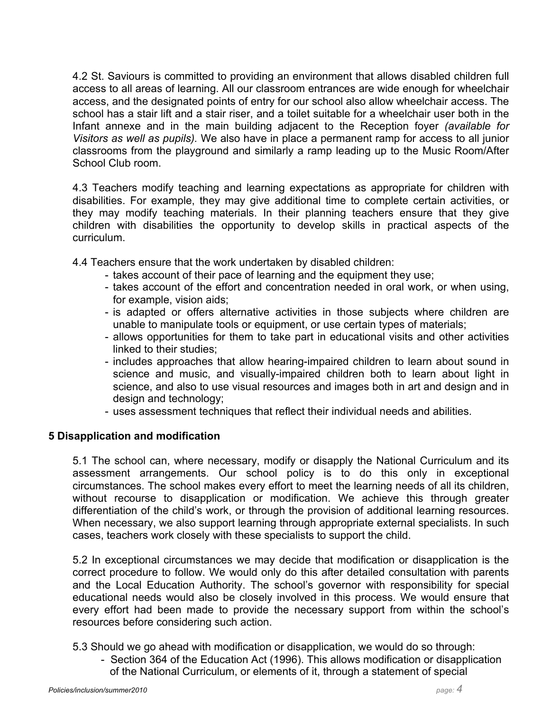4.2 St. Saviours is committed to providing an environment that allows disabled children full access to all areas of learning. All our classroom entrances are wide enough for wheelchair access, and the designated points of entry for our school also allow wheelchair access. The school has a stair lift and a stair riser, and a toilet suitable for a wheelchair user both in the Infant annexe and in the main building adjacent to the Reception foyer *(available for Visitors as well as pupils).* We also have in place a permanent ramp for access to all junior classrooms from the playground and similarly a ramp leading up to the Music Room/After School Club room.

4.3 Teachers modify teaching and learning expectations as appropriate for children with disabilities. For example, they may give additional time to complete certain activities, or they may modify teaching materials. In their planning teachers ensure that they give children with disabilities the opportunity to develop skills in practical aspects of the curriculum.

4.4 Teachers ensure that the work undertaken by disabled children:

- takes account of their pace of learning and the equipment they use;
- takes account of the effort and concentration needed in oral work, or when using, for example, vision aids;
- is adapted or offers alternative activities in those subjects where children are unable to manipulate tools or equipment, or use certain types of materials;
- allows opportunities for them to take part in educational visits and other activities linked to their studies;
- includes approaches that allow hearing-impaired children to learn about sound in science and music, and visually-impaired children both to learn about light in science, and also to use visual resources and images both in art and design and in design and technology;
- uses assessment techniques that reflect their individual needs and abilities.

#### **5 Disapplication and modification**

5.1 The school can, where necessary, modify or disapply the National Curriculum and its assessment arrangements. Our school policy is to do this only in exceptional circumstances. The school makes every effort to meet the learning needs of all its children, without recourse to disapplication or modification. We achieve this through greater differentiation of the child's work, or through the provision of additional learning resources. When necessary, we also support learning through appropriate external specialists. In such cases, teachers work closely with these specialists to support the child.

5.2 In exceptional circumstances we may decide that modification or disapplication is the correct procedure to follow. We would only do this after detailed consultation with parents and the Local Education Authority. The school's governor with responsibility for special educational needs would also be closely involved in this process. We would ensure that every effort had been made to provide the necessary support from within the school's resources before considering such action.

5.3 Should we go ahead with modification or disapplication, we would do so through:

- Section 364 of the Education Act (1996). This allows modification or disapplication of the National Curriculum, or elements of it, through a statement of special